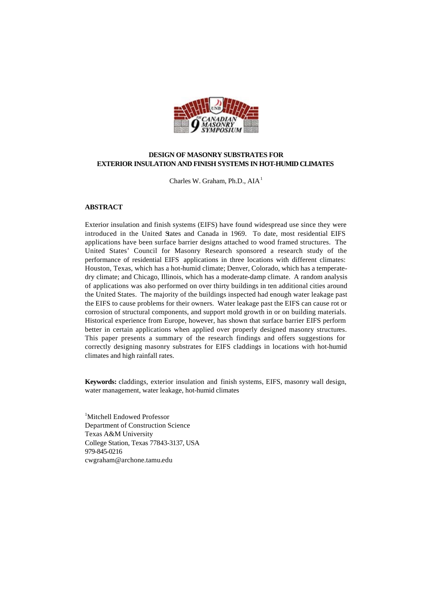

# **DESIGN OF MASONRY SUBSTRATES FOR EXTERIOR INSULATION AND FINISH SYSTEMS IN HOT-HUMID CLIMATES**

Charles W. Graham, Ph.D.,  $AIA<sup>1</sup>$ 

#### **ABSTRACT**

Exterior insulation and finish systems (EIFS) have found widespread use since they were introduced in the United States and Canada in 1969. To date, most residential EIFS applications have been surface barrier designs attached to wood framed structures. The United States' Council for Masonry Research sponsored a research study of the performance of residential EIFS applications in three locations with different climates: Houston, Texas, which has a hot-humid climate; Denver, Colorado, which has a temperatedry climate; and Chicago, Illinois, which has a moderate-damp climate. A random analysis of applications was also performed on over thirty buildings in ten additional cities around the United States. The majority of the buildings inspected had enough water leakage past the EIFS to cause problems for their owners. Water leakage past the EIFS can cause rot or corrosion of structural components, and support mold growth in or on building materials. Historical experience from Europe, however, has shown that surface barrier EIFS perform better in certain applications when applied over properly designed masonry structures. This paper presents a summary of the research findings and offers suggestions for correctly designing masonry substrates for EIFS claddings in locations with hot-humid climates and high rainfall rates.

**Keywords:** claddings, exterior insulation and finish systems, EIFS, masonry wall design, water management, water leakage, hot-humid climates

<sup>1</sup>Mitchell Endowed Professor Department of Construction Science Texas A&M University College Station, Texas 77843-3137, USA 979-845-0216 cwgraham@archone.tamu.edu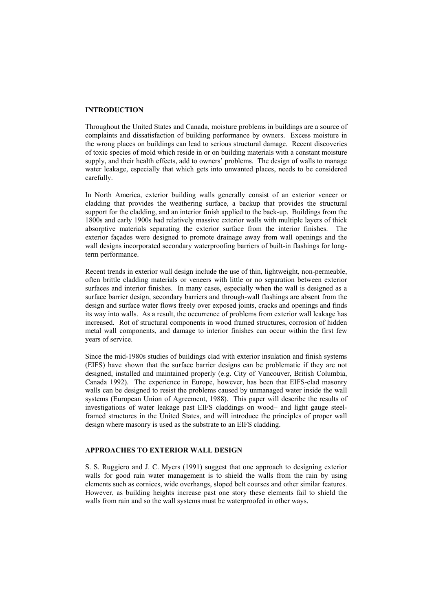## **INTRODUCTION**

Throughout the United States and Canada, moisture problems in buildings are a source of complaints and dissatisfaction of building performance by owners. Excess moisture in the wrong places on buildings can lead to serious structural damage. Recent discoveries of toxic species of mold which reside in or on building materials with a constant moisture supply, and their health effects, add to owners' problems. The design of walls to manage water leakage, especially that which gets into unwanted places, needs to be considered carefully.

In North America, exterior building walls generally consist of an exterior veneer or cladding that provides the weathering surface, a backup that provides the structural support for the cladding, and an interior finish applied to the back-up. Buildings from the 1800s and early 1900s had relatively massive exterior walls with multiple layers of thick absorptive materials separating the exterior surface from the interior finishes. The exterior façades were designed to promote drainage away from wall openings and the wall designs incorporated secondary waterproofing barriers of built-in flashings for longterm performance.

Recent trends in exterior wall design include the use of thin, lightweight, non-permeable, often brittle cladding materials or veneers with little or no separation between exterior surfaces and interior finishes. In many cases, especially when the wall is designed as a surface barrier design, secondary barriers and through-wall flashings are absent from the design and surface water flows freely over exposed joints, cracks and openings and finds its way into walls. As a result, the occurrence of problems from exterior wall leakage has increased. Rot of structural components in wood framed structures, corrosion of hidden metal wall components, and damage to interior finishes can occur within the first few years of service.

Since the mid-1980s studies of buildings clad with exterior insulation and finish systems (EIFS) have shown that the surface barrier designs can be problematic if they are not designed, installed and maintained properly (e.g. City of Vancouver, British Columbia, Canada 1992). The experience in Europe, however, has been that EIFS-clad masonry walls can be designed to resist the problems caused by unmanaged water inside the wall systems (European Union of Agreement, 1988). This paper will describe the results of investigations of water leakage past EIFS claddings on wood– and light gauge steelframed structures in the United States, and will introduce the principles of proper wall design where masonry is used as the substrate to an EIFS cladding.

# **APPROACHES TO EXTERIOR WALL DESIGN**

S. S. Ruggiero and J. C. Myers (1991) suggest that one approach to designing exterior walls for good rain water management is to shield the walls from the rain by using elements such as cornices, wide overhangs, sloped belt courses and other similar features. However, as building heights increase past one story these elements fail to shield the walls from rain and so the wall systems must be waterproofed in other ways.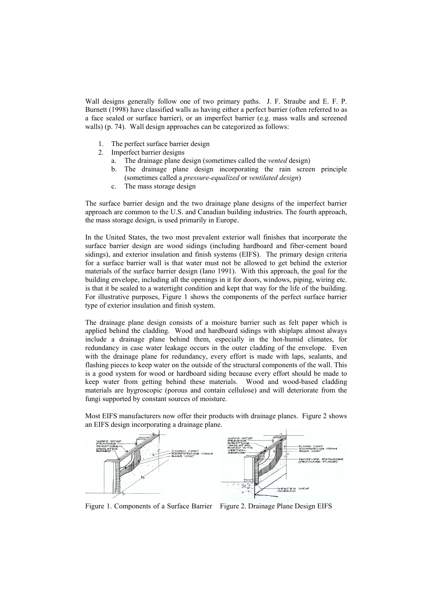Wall designs generally follow one of two primary paths. J. F. Straube and E. F. P. Burnett (1998) have classified walls as having either a perfect barrier (often referred to as a face sealed or surface barrier), or an imperfect barrier (e.g. mass walls and screened walls) (p. 74). Wall design approaches can be categorized as follows:

- 1. The perfect surface barrier design
- 2. Imperfect barrier designs
	- a. The drainage plane design (sometimes called the *vented* design)
	- b. The drainage plane design incorporating the rain screen principle (sometimes called a *pressure-equalized* or *ventilated design*)
	- c. The mass storage design

The surface barrier design and the two drainage plane designs of the imperfect barrier approach are common to the U.S. and Canadian building industries. The fourth approach, the mass storage design, is used primarily in Europe.

In the United States, the two most prevalent exterior wall finishes that incorporate the surface barrier design are wood sidings (including hardboard and fiber-cement board sidings), and exterior insulation and finish systems (EIFS). The primary design criteria for a surface barrier wall is that water must not be allowed to get behind the exterior materials of the surface barrier design (Iano 1991). With this approach, the goal for the building envelope, including all the openings in it for doors, windows, piping, wiring etc. is that it be sealed to a watertight condition and kept that way for the life of the building. For illustrative purposes, Figure 1 shows the components of the perfect surface barrier type of exterior insulation and finish system.

The drainage plane design consists of a moisture barrier such as felt paper which is applied behind the cladding. Wood and hardboard sidings with shiplaps almost always include a drainage plane behind them, especially in the hot-humid climates, for redundancy in case water leakage occurs in the outer cladding of the envelope. Even with the drainage plane for redundancy, every effort is made with laps, sealants, and flashing pieces to keep water on the outside of the structural components of the wall. This is a good system for wood or hardboard siding because every effort should be made to keep water from getting behind these materials. Wood and wood-based cladding materials are hygroscopic (porous and contain cellulose) and will deteriorate from the fungi supported by constant sources of moisture.



Most EIFS manufacturers now offer their products with drainage planes. Figure 2 shows an EIFS design incorporating a drainage plane.

Figure 1. Components of a Surface Barrier Figure 2. Drainage Plane Design EIFS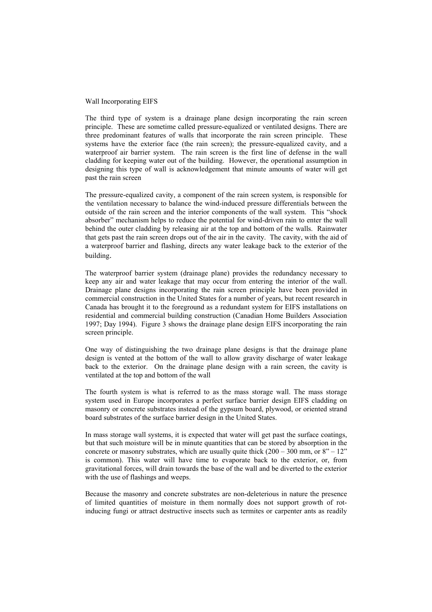## Wall Incorporating EIFS

The third type of system is a drainage plane design incorporating the rain screen principle. These are sometime called pressure-equalized or ventilated designs. There are three predominant features of walls that incorporate the rain screen principle. These systems have the exterior face (the rain screen); the pressure-equalized cavity, and a waterproof air barrier system. The rain screen is the first line of defense in the wall cladding for keeping water out of the building. However, the operational assumption in designing this type of wall is acknowledgement that minute amounts of water will get past the rain screen

The pressure-equalized cavity, a component of the rain screen system, is responsible for the ventilation necessary to balance the wind-induced pressure differentials between the outside of the rain screen and the interior components of the wall system. This "shock absorber" mechanism helps to reduce the potential for wind-driven rain to enter the wall behind the outer cladding by releasing air at the top and bottom of the walls. Rainwater that gets past the rain screen drops out of the air in the cavity. The cavity, with the aid of a waterproof barrier and flashing, directs any water leakage back to the exterior of the building.

The waterproof barrier system (drainage plane) provides the redundancy necessary to keep any air and water leakage that may occur from entering the interior of the wall. Drainage plane designs incorporating the rain screen principle have been provided in commercial construction in the United States for a number of years, but recent research in Canada has brought it to the foreground as a redundant system for EIFS installations on residential and commercial building construction (Canadian Home Builders Association 1997; Day 1994). Figure 3 shows the drainage plane design EIFS incorporating the rain screen principle.

One way of distinguishing the two drainage plane designs is that the drainage plane design is vented at the bottom of the wall to allow gravity discharge of water leakage back to the exterior. On the drainage plane design with a rain screen, the cavity is ventilated at the top and bottom of the wall

The fourth system is what is referred to as the mass storage wall. The mass storage system used in Europe incorporates a perfect surface barrier design EIFS cladding on masonry or concrete substrates instead of the gypsum board, plywood, or oriented strand board substrates of the surface barrier design in the United States.

In mass storage wall systems, it is expected that water will get past the surface coatings, but that such moisture will be in minute quantities that can be stored by absorption in the concrete or masonry substrates, which are usually quite thick  $(200 - 300 \text{ mm})$  or  $8" - 12"$ is common). This water will have time to evaporate back to the exterior, or, from gravitational forces, will drain towards the base of the wall and be diverted to the exterior with the use of flashings and weeps.

Because the masonry and concrete substrates are non-deleterious in nature the presence of limited quantities of moisture in them normally does not support growth of rotinducing fungi or attract destructive insects such as termites or carpenter ants as readily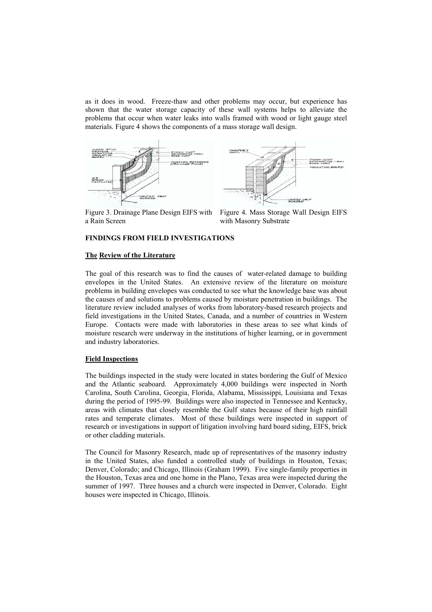as it does in wood. Freeze-thaw and other problems may occur, but experience has shown that the water storage capacity of these wall systems helps to alleviate the problems that occur when water leaks into walls framed with wood or light gauge steel materials. Figure 4 shows the components of a mass storage wall design.



Figure 3. Drainage Plane Design EIFS with a Rain Screen

Figure 4. Mass Storage Wall Design EIFS with Masonry Substrate

# **FINDINGS FROM FIELD INVESTIGATIONS**

# **The Review of the Literature**

The goal of this research was to find the causes of water-related damage to building envelopes in the United States. An extensive review of the literature on moisture problems in building envelopes was conducted to see what the knowledge base was about the causes of and solutions to problems caused by moisture penetration in buildings. The literature review included analyses of works from laboratory-based research projects and field investigations in the United States, Canada, and a number of countries in Western Europe. Contacts were made with laboratories in these areas to see what kinds of moisture research were underway in the institutions of higher learning, or in government and industry laboratories.

#### **Field Inspections**

The buildings inspected in the study were located in states bordering the Gulf of Mexico and the Atlantic seaboard. Approximately 4,000 buildings were inspected in North Carolina, South Carolina, Georgia, Florida, Alabama, Mississippi, Louisiana and Texas during the period of 1995-99. Buildings were also inspected in Tennessee and Kentucky, areas with climates that closely resemble the Gulf states because of their high rainfall rates and temperate climates. Most of these buildings were inspected in support of research or investigations in support of litigation involving hard board siding, EIFS, brick or other cladding materials.

The Council for Masonry Research, made up of representatives of the masonry industry in the United States, also funded a controlled study of buildings in Houston, Texas; Denver, Colorado; and Chicago, Illinois (Graham 1999). Five single-family properties in the Houston, Texas area and one home in the Plano, Texas area were inspected during the summer of 1997. Three houses and a church were inspected in Denver, Colorado. Eight houses were inspected in Chicago, Illinois.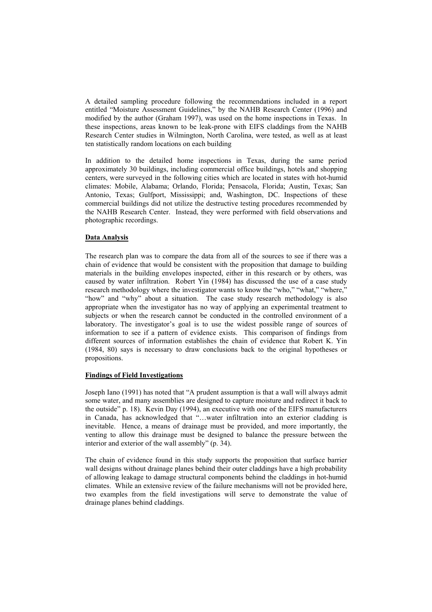A detailed sampling procedure following the recommendations included in a report entitled "Moisture Assessment Guidelines," by the NAHB Research Center (1996) and modified by the author (Graham 1997), was used on the home inspections in Texas. In these inspections, areas known to be leak-prone with EIFS claddings from the NAHB Research Center studies in Wilmington, North Carolina, were tested, as well as at least ten statistically random locations on each building

In addition to the detailed home inspections in Texas, during the same period approximately 30 buildings, including commercial office buildings, hotels and shopping centers, were surveyed in the following cities which are located in states with hot-humid climates: Mobile, Alabama; Orlando, Florida; Pensacola, Florida; Austin, Texas; San Antonio, Texas; Gulfport, Mississippi; and, Washington, DC. Inspections of these commercial buildings did not utilize the destructive testing procedures recommended by the NAHB Research Center. Instead, they were performed with field observations and photographic recordings.

# **Data Analysis**

The research plan was to compare the data from all of the sources to see if there was a chain of evidence that would be consistent with the proposition that damage to building materials in the building envelopes inspected, either in this research or by others, was caused by water infiltration. Robert Yin (1984) has discussed the use of a case study research methodology where the investigator wants to know the "who," "what," "where," "how" and "why" about a situation. The case study research methodology is also appropriate when the investigator has no way of applying an experimental treatment to subjects or when the research cannot be conducted in the controlled environment of a laboratory. The investigator's goal is to use the widest possible range of sources of information to see if a pattern of evidence exists. This comparison of findings from different sources of information establishes the chain of evidence that Robert K. Yin (1984, 80) says is necessary to draw conclusions back to the original hypotheses or propositions.

# **Findings of Field Investigations**

Joseph Iano (1991) has noted that "A prudent assumption is that a wall will always admit some water, and many assemblies are designed to capture moisture and redirect it back to the outside" p. 18). Kevin Day (1994), an executive with one of the EIFS manufacturers in Canada, has acknowledged that "…water infiltration into an exterior cladding is inevitable. Hence, a means of drainage must be provided, and more importantly, the venting to allow this drainage must be designed to balance the pressure between the interior and exterior of the wall assembly" (p. 34).

The chain of evidence found in this study supports the proposition that surface barrier wall designs without drainage planes behind their outer claddings have a high probability of allowing leakage to damage structural components behind the claddings in hot-humid climates. While an extensive review of the failure mechanisms will not be provided here, two examples from the field investigations will serve to demonstrate the value of drainage planes behind claddings.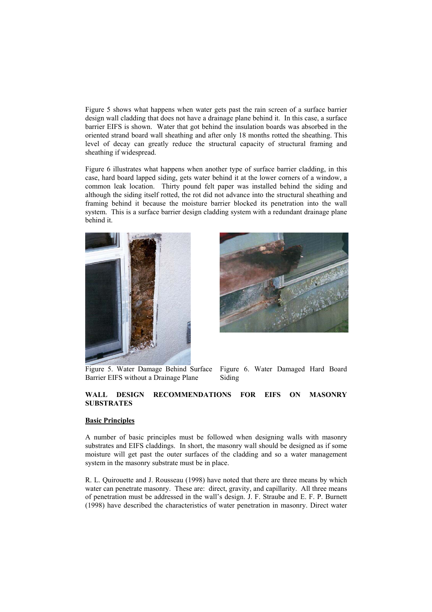Figure 5 shows what happens when water gets past the rain screen of a surface barrier design wall cladding that does not have a drainage plane behind it. In this case, a surface barrier EIFS is shown. Water that got behind the insulation boards was absorbed in the oriented strand board wall sheathing and after only 18 months rotted the sheathing. This level of decay can greatly reduce the structural capacity of structural framing and sheathing if widespread.

Figure 6 illustrates what happens when another type of surface barrier cladding, in this case, hard board lapped siding, gets water behind it at the lower corners of a window, a common leak location. Thirty pound felt paper was installed behind the siding and although the siding itself rotted, the rot did not advance into the structural sheathing and framing behind it because the moisture barrier blocked its penetration into the wall system. This is a surface barrier design cladding system with a redundant drainage plane behind it.





Barrier EIFS without a Drainage Plane

Figure 5. Water Damage Behind Surface Figure 6. Water Damaged Hard Board Siding

# **WALL DESIGN RECOMMENDATIONS FOR EIFS ON MASONRY SUBSTRATES**

### **Basic Principles**

A number of basic principles must be followed when designing walls with masonry substrates and EIFS claddings. In short, the masonry wall should be designed as if some moisture will get past the outer surfaces of the cladding and so a water management system in the masonry substrate must be in place.

R. L. Quirouette and J. Rousseau (1998) have noted that there are three means by which water can penetrate masonry. These are: direct, gravity, and capillarity. All three means of penetration must be addressed in the wall's design. J. F. Straube and E. F. P. Burnett (1998) have described the characteristics of water penetration in masonry. Direct water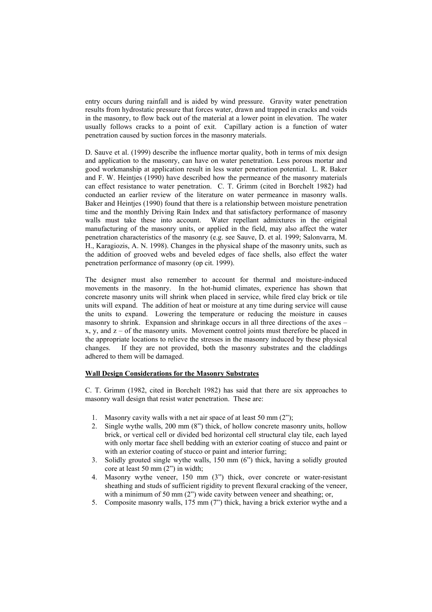entry occurs during rainfall and is aided by wind pressure. Gravity water penetration results from hydrostatic pressure that forces water, drawn and trapped in cracks and voids in the masonry, to flow back out of the material at a lower point in elevation. The water usually follows cracks to a point of exit. Capillary action is a function of water penetration caused by suction forces in the masonry materials.

D. Sauve et al. (1999) describe the influence mortar quality, both in terms of mix design and application to the masonry, can have on water penetration. Less porous mortar and good workmanship at application result in less water penetration potential. L. R. Baker and F. W. Heintjes (1990) have described how the permeance of the masonry materials can effect resistance to water penetration. C. T. Grimm (cited in Borchelt 1982) had conducted an earlier review of the literature on water permeance in masonry walls. Baker and Heintjes (1990) found that there is a relationship between moisture penetration time and the monthly Driving Rain Index and that satisfactory performance of masonry walls must take these into account. Water repellant admixtures in the original manufacturing of the masonry units, or applied in the field, may also affect the water penetration characteristics of the masonry (e.g. see Sauve, D. et al. 1999; Salonvarra, M. H., Karagiozis, A. N. 1998). Changes in the physical shape of the masonry units, such as the addition of grooved webs and beveled edges of face shells, also effect the water penetration performance of masonry (op cit. 1999).

The designer must also remember to account for thermal and moisture-induced movements in the masonry. In the hot-humid climates, experience has shown that concrete masonry units will shrink when placed in service, while fired clay brick or tile units will expand. The addition of heat or moisture at any time during service will cause the units to expand. Lowering the temperature or reducing the moisture in causes masonry to shrink. Expansion and shrinkage occurs in all three directions of the axes – x, y, and  $z - of$  the masonry units. Movement control joints must therefore be placed in the appropriate locations to relieve the stresses in the masonry induced by these physical changes. If they are not provided, both the masonry substrates and the claddings adhered to them will be damaged.

## **Wall Design Considerations for the Masonry Substrates**

C. T. Grimm (1982, cited in Borchelt 1982) has said that there are six approaches to masonry wall design that resist water penetration. These are:

- 1. Masonry cavity walls with a net air space of at least 50 mm (2");
- 2. Single wythe walls, 200 mm (8") thick, of hollow concrete masonry units, hollow brick, or vertical cell or divided bed horizontal cell structural clay tile, each layed with only mortar face shell bedding with an exterior coating of stucco and paint or with an exterior coating of stucco or paint and interior furring;
- 3. Solidly grouted single wythe walls, 150 mm (6") thick, having a solidly grouted core at least 50 mm (2") in width;
- 4. Masonry wythe veneer, 150 mm (3") thick, over concrete or water-resistant sheathing and studs of sufficient rigidity to prevent flexural cracking of the veneer, with a minimum of 50 mm (2") wide cavity between veneer and sheathing; or,
- 5. Composite masonry walls, 175 mm (7") thick, having a brick exterior wythe and a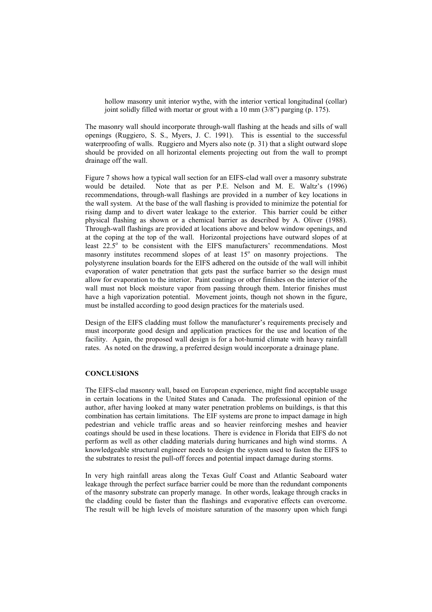hollow masonry unit interior wythe, with the interior vertical longitudinal (collar) joint solidly filled with mortar or grout with a 10 mm (3/8") parging (p. 175).

The masonry wall should incorporate through-wall flashing at the heads and sills of wall openings (Ruggiero, S. S., Myers, J. C. 1991). This is essential to the successful waterproofing of walls. Ruggiero and Myers also note (p. 31) that a slight outward slope should be provided on all horizontal elements projecting out from the wall to prompt drainage off the wall.

Figure 7 shows how a typical wall section for an EIFS-clad wall over a masonry substrate would be detailed. Note that as per P.E. Nelson and M. E. Waltz's (1996) recommendations, through-wall flashings are provided in a number of key locations in the wall system. At the base of the wall flashing is provided to minimize the potential for rising damp and to divert water leakage to the exterior. This barrier could be either physical flashing as shown or a chemical barrier as described by A. Oliver (1988). Through-wall flashings are provided at locations above and below window openings, and at the coping at the top of the wall. Horizontal projections have outward slopes of at least 22.5<sup>°</sup> to be consistent with the EIFS manufacturers' recommendations. Most masonry institutes recommend slopes of at least 15° on masonry projections. The polystyrene insulation boards for the EIFS adhered on the outside of the wall will inhibit evaporation of water penetration that gets past the surface barrier so the design must allow for evaporation to the interior. Paint coatings or other finishes on the interior of the wall must not block moisture vapor from passing through them. Interior finishes must have a high vaporization potential. Movement joints, though not shown in the figure, must be installed according to good design practices for the materials used.

Design of the EIFS cladding must follow the manufacturer's requirements precisely and must incorporate good design and application practices for the use and location of the facility. Again, the proposed wall design is for a hot-humid climate with heavy rainfall rates. As noted on the drawing, a preferred design would incorporate a drainage plane.

## **CONCLUSIONS**

The EIFS-clad masonry wall, based on European experience, might find acceptable usage in certain locations in the United States and Canada. The professional opinion of the author, after having looked at many water penetration problems on buildings, is that this combination has certain limitations. The EIF systems are prone to impact damage in high pedestrian and vehicle traffic areas and so heavier reinforcing meshes and heavier coatings should be used in these locations. There is evidence in Florida that EIFS do not perform as well as other cladding materials during hurricanes and high wind storms. A knowledgeable structural engineer needs to design the system used to fasten the EIFS to the substrates to resist the pull-off forces and potential impact damage during storms.

In very high rainfall areas along the Texas Gulf Coast and Atlantic Seaboard water leakage through the perfect surface barrier could be more than the redundant components of the masonry substrate can properly manage. In other words, leakage through cracks in the cladding could be faster than the flashings and evaporative effects can overcome. The result will be high levels of moisture saturation of the masonry upon which fungi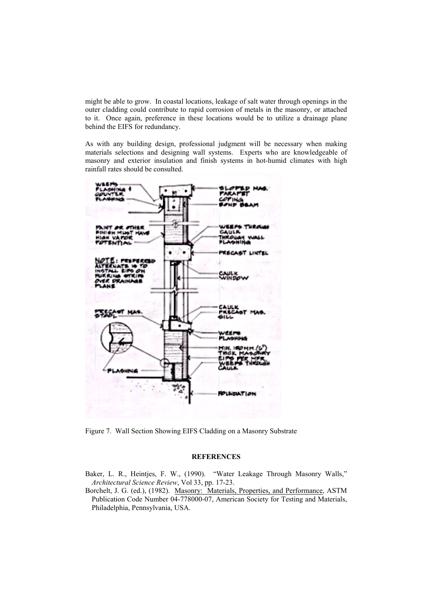might be able to grow. In coastal locations, leakage of salt water through openings in the outer cladding could contribute to rapid corrosion of metals in the masonry, or attached to it. Once again, preference in these locations would be to utilize a drainage plane behind the EIFS for redundancy.

As with any building design, professional judgment will be necessary when making materials selections and designing wall systems. Experts who are knowledgeable of masonry and exterior insulation and finish systems in hot-humid climates with high rainfall rates should be consulted.



Figure 7. Wall Section Showing EIFS Cladding on a Masonry Substrate

#### **REFERENCES**

Baker, L. R., Heintjes, F. W., (1990). "Water Leakage Through Masonry Walls," *Architectural Science Review*, Vol 33, pp. 17-23.

Borchelt, J. G. (ed.), (1982). Masonry: Materials, Properties, and Performance, ASTM Publication Code Number 04-778000-07, American Society for Testing and Materials, Philadelphia, Pennsylvania, USA.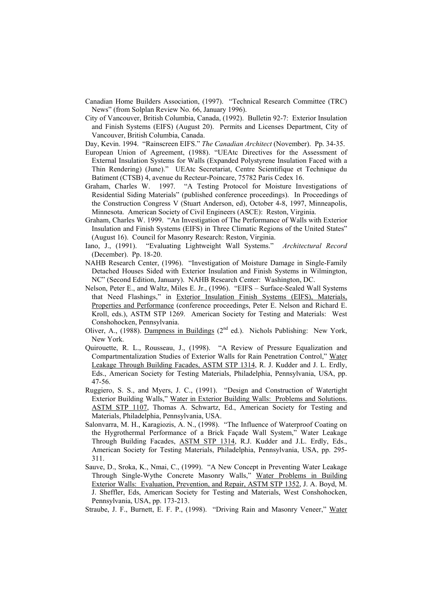- Canadian Home Builders Association, (1997). "Technical Research Committee (TRC) News" (from Solplan Review No. 66, January 1996).
- City of Vancouver, British Columbia, Canada, (1992). Bulletin 92-7: Exterior Insulation and Finish Systems (EIFS) (August 20). Permits and Licenses Department, City of Vancouver, British Columbia, Canada.
- Day, Kevin. 1994. "Rainscreen EIFS." *The Canadian Architect* (November). Pp. 34-35.
- European Union of Agreement, (1988). "UEAtc Directives for the Assessment of External Insulation Systems for Walls (Expanded Polystyrene Insulation Faced with a Thin Rendering) (June)." UEAtc Secretariat, Centre Scientifique et Technique du Batiment (CTSB) 4, avenue du Recteur-Poincare, 75782 Paris Cedex 16.
- Graham, Charles W. 1997. "A Testing Protocol for Moisture Investigations of Residential Siding Materials" (published conference proceedings). In Proceedings of the Construction Congress V (Stuart Anderson, ed), October 4-8, 1997, Minneapolis, Minnesota. American Society of Civil Engineers (ASCE): Reston, Virginia.
- Graham, Charles W. 1999. "An Investigation of The Performance of Walls with Exterior Insulation and Finish Systems (EIFS) in Three Climatic Regions of the United States" (August 16). Council for Masonry Research: Reston, Virginia.
- Iano, J., (1991). "Evaluating Lightweight Wall Systems." *Architectural Record* (December). Pp. 18-20.
- NAHB Research Center, (1996). "Investigation of Moisture Damage in Single-Family Detached Houses Sided with Exterior Insulation and Finish Systems in Wilmington, NC" (Second Edition, January). NAHB Research Center: Washington, DC.
- Nelson, Peter E., and Waltz, Miles E. Jr., (1996). "EIFS Surface-Sealed Wall Systems that Need Flashings," in Exterior Insulation Finish Systems (EIFS), Materials, Properties and Performance (conference proceedings, Peter E. Nelson and Richard E. Kroll, eds.), ASTM STP 1269. American Society for Testing and Materials: West Conshohocken, Pennsylvania.
- Oliver, A., (1988). Dampness in Buildings ( $2<sup>nd</sup>$  ed.). Nichols Publishing: New York, New York.
- Quirouette, R. L., Rousseau, J., (1998). "A Review of Pressure Equalization and Compartmentalization Studies of Exterior Walls for Rain Penetration Control," Water Leakage Through Building Facades, ASTM STP 1314, R. J. Kudder and J. L. Erdly, Eds., American Society for Testing Materials, Philadelphia, Pennsylvania, USA, pp. 47-56.
- Ruggiero, S. S., and Myers, J. C., (1991). "Design and Construction of Watertight Exterior Building Walls," Water in Exterior Building Walls: Problems and Solutions. ASTM STP 1107, Thomas A. Schwartz, Ed., American Society for Testing and Materials, Philadelphia, Pennsylvania, USA.
- Salonvarra, M. H., Karagiozis, A. N., (1998). "The Influence of Waterproof Coating on the Hygrothermal Performance of a Brick Façade Wall System," Water Leakage Through Building Facades, ASTM STP 1314, R.J. Kudder and J.L. Erdly, Eds., American Society for Testing Materials, Philadelphia, Pennsylvania, USA, pp. 295- 311.
- Sauve, D., Sroka, K., Nmai, C., (1999). "A New Concept in Preventing Water Leakage Through Single-Wythe Concrete Masonry Walls," Water Problems in Building Exterior Walls: Evaluation, Prevention, and Repair, ASTM STP 1352, J. A. Boyd, M. J. Sheffler, Eds, American Society for Testing and Materials, West Conshohocken, Pennsylvania, USA, pp. 173-213.
- Straube, J. F., Burnett, E. F. P., (1998). "Driving Rain and Masonry Veneer," Water